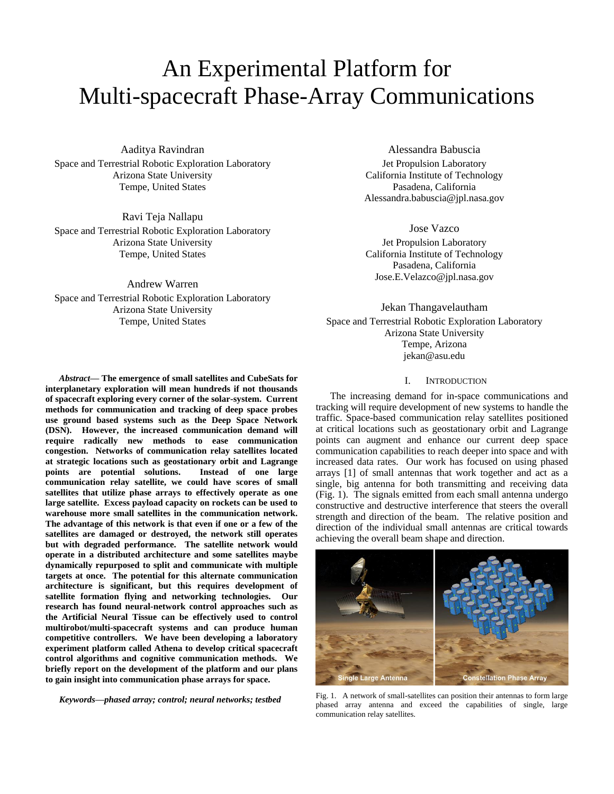# An Experimental Platform for Multi-spacecraft Phase-Array Communications

Aaditya Ravindran Space and Terrestrial Robotic Exploration Laboratory Arizona State University Tempe, United States

Ravi Teja Nallapu Space and Terrestrial Robotic Exploration Laboratory Arizona State University Tempe, United States

Andrew Warren Space and Terrestrial Robotic Exploration Laboratory Arizona State University Tempe, United States

*Abstract***— The emergence of small satellites and CubeSats for interplanetary exploration will mean hundreds if not thousands of spacecraft exploring every corner of the solar-system. Current methods for communication and tracking of deep space probes use ground based systems such as the Deep Space Network (DSN). However, the increased communication demand will require radically new methods to ease communication congestion. Networks of communication relay satellites located at strategic locations such as geostationary orbit and Lagrange points** are **potential** solutions. **communication relay satellite, we could have scores of small satellites that utilize phase arrays to effectively operate as one large satellite. Excess payload capacity on rockets can be used to warehouse more small satellites in the communication network. The advantage of this network is that even if one or a few of the satellites are damaged or destroyed, the network still operates but with degraded performance. The satellite network would operate in a distributed architecture and some satellites maybe dynamically repurposed to split and communicate with multiple targets at once. The potential for this alternate communication architecture is significant, but this requires development of satellite formation flying and networking technologies. Our research has found neural-network control approaches such as the Artificial Neural Tissue can be effectively used to control multirobot/multi-spacecraft systems and can produce human competitive controllers. We have been developing a laboratory experiment platform called Athena to develop critical spacecraft control algorithms and cognitive communication methods. We briefly report on the development of the platform and our plans to gain insight into communication phase arrays for space.** 

*Keywords—phased array; control; neural networks; testbed*

Alessandra Babuscia Jet Propulsion Laboratory California Institute of Technology Pasadena, California Alessandra.babuscia@jpl.nasa.gov

Jose Vazco Jet Propulsion Laboratory California Institute of Technology Pasadena, California Jose.E.Velazco@jpl.nasa.gov

Jekan Thangavelautham Space and Terrestrial Robotic Exploration Laboratory Arizona State University Tempe, Arizona jekan@asu.edu

## I. INTRODUCTION

The increasing demand for in-space communications and tracking will require development of new systems to handle the traffic. Space-based communication relay satellites positioned at critical locations such as geostationary orbit and Lagrange points can augment and enhance our current deep space communication capabilities to reach deeper into space and with increased data rates. Our work has focused on using phased arrays [1] of small antennas that work together and act as a single, big antenna for both transmitting and receiving data (Fig. 1). The signals emitted from each small antenna undergo constructive and destructive interference that steers the overall strength and direction of the beam. The relative position and direction of the individual small antennas are critical towards achieving the overall beam shape and direction.



Fig. 1. A network of small-satellites can position their antennas to form large phased array antenna and exceed the capabilities of single, large communication relay satellites.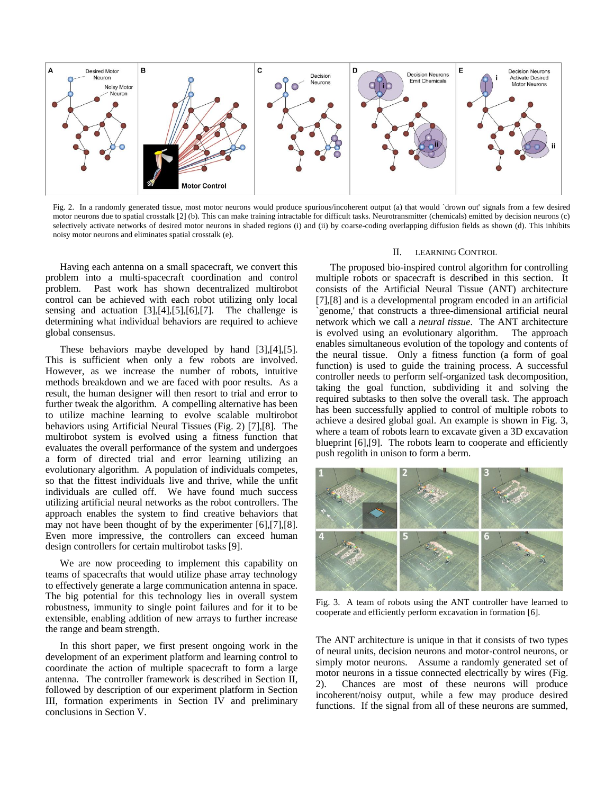

Fig. 2. In a randomly generated tissue, most motor neurons would produce spurious/incoherent output (a) that would `drown out' signals from a few desired motor neurons due to spatial crosstalk [2] (b). This can make training intractable for difficult tasks. Neurotransmitter (chemicals) emitted by decision neurons (c) selectively activate networks of desired motor neurons in shaded regions (i) and (ii) by coarse-coding overlapping diffusion fields as shown (d). This inhibits noisy motor neurons and eliminates spatial crosstalk (e).

Having each antenna on a small spacecraft, we convert this problem into a multi-spacecraft coordination and control problem. Past work has shown decentralized multirobot control can be achieved with each robot utilizing only local sensing and actuation [3],[4],[5],[6],[7]. The challenge is determining what individual behaviors are required to achieve global consensus.

These behaviors maybe developed by hand [3],[4],[5]. This is sufficient when only a few robots are involved. However, as we increase the number of robots, intuitive methods breakdown and we are faced with poor results. As a result, the human designer will then resort to trial and error to further tweak the algorithm. A compelling alternative has been to utilize machine learning to evolve scalable multirobot behaviors using Artificial Neural Tissues (Fig. 2) [7],[8]. The multirobot system is evolved using a fitness function that evaluates the overall performance of the system and undergoes a form of directed trial and error learning utilizing an evolutionary algorithm. A population of individuals competes, so that the fittest individuals live and thrive, while the unfit individuals are culled off. We have found much success utilizing artificial neural networks as the robot controllers. The approach enables the system to find creative behaviors that may not have been thought of by the experimenter [6],[7],[8]. Even more impressive, the controllers can exceed human design controllers for certain multirobot tasks [9].

We are now proceeding to implement this capability on teams of spacecrafts that would utilize phase array technology to effectively generate a large communication antenna in space. The big potential for this technology lies in overall system robustness, immunity to single point failures and for it to be extensible, enabling addition of new arrays to further increase the range and beam strength.

In this short paper, we first present ongoing work in the development of an experiment platform and learning control to coordinate the action of multiple spacecraft to form a large antenna. The controller framework is described in Section II, followed by description of our experiment platform in Section III, formation experiments in Section IV and preliminary conclusions in Section V.

### II. LEARNING CONTROL

The proposed bio-inspired control algorithm for controlling multiple robots or spacecraft is described in this section. It consists of the Artificial Neural Tissue (ANT) architecture [7],[8] and is a developmental program encoded in an artificial `genome,' that constructs a three-dimensional artificial neural network which we call a *neural tissue*. The ANT architecture is evolved using an evolutionary algorithm. The approach enables simultaneous evolution of the topology and contents of the neural tissue. Only a fitness function (a form of goal function) is used to guide the training process. A successful controller needs to perform self-organized task decomposition, taking the goal function, subdividing it and solving the required subtasks to then solve the overall task. The approach has been successfully applied to control of multiple robots to achieve a desired global goal. An example is shown in Fig. 3, where a team of robots learn to excavate given a 3D excavation blueprint [6],[9]. The robots learn to cooperate and efficiently push regolith in unison to form a berm.



Fig. 3. A team of robots using the ANT controller have learned to cooperate and efficiently perform excavation in formation [6].

The ANT architecture is unique in that it consists of two types of neural units, decision neurons and motor-control neurons, or simply motor neurons. Assume a randomly generated set of motor neurons in a tissue connected electrically by wires (Fig. 2). Chances are most of these neurons will produce incoherent/noisy output, while a few may produce desired functions. If the signal from all of these neurons are summed,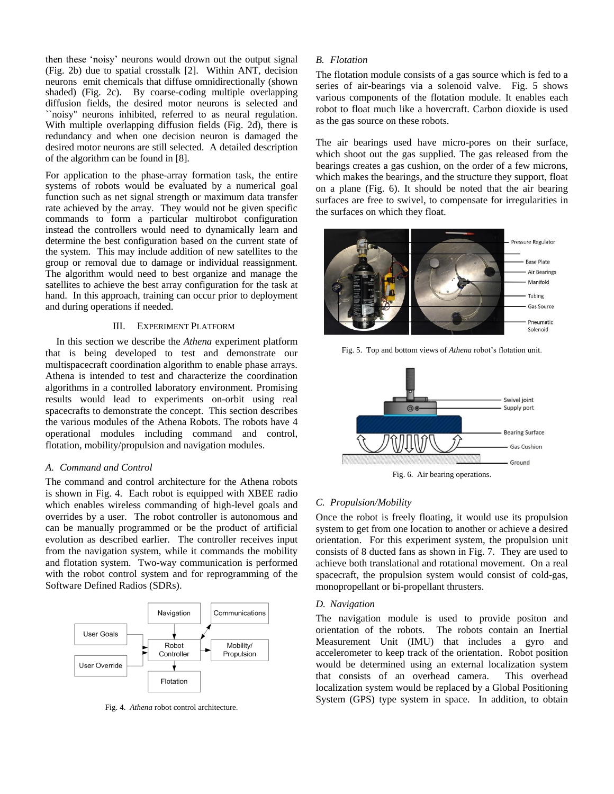then these 'noisy' neurons would drown out the output signal (Fig. 2b) due to spatial crosstalk [2]. Within ANT, decision neurons emit chemicals that diffuse omnidirectionally (shown shaded) (Fig. 2c). By coarse-coding multiple overlapping diffusion fields, the desired motor neurons is selected and ``noisy'' neurons inhibited, referred to as neural regulation. With multiple overlapping diffusion fields (Fig. 2d), there is redundancy and when one decision neuron is damaged the desired motor neurons are still selected. A detailed description of the algorithm can be found in [8].

For application to the phase-array formation task, the entire systems of robots would be evaluated by a numerical goal function such as net signal strength or maximum data transfer rate achieved by the array. They would not be given specific commands to form a particular multirobot configuration instead the controllers would need to dynamically learn and determine the best configuration based on the current state of the system. This may include addition of new satellites to the group or removal due to damage or individual reassignment. The algorithm would need to best organize and manage the satellites to achieve the best array configuration for the task at hand. In this approach, training can occur prior to deployment and during operations if needed.

## III. EXPERIMENT PLATFORM

In this section we describe the *Athena* experiment platform that is being developed to test and demonstrate our multispacecraft coordination algorithm to enable phase arrays. Athena is intended to test and characterize the coordination algorithms in a controlled laboratory environment. Promising results would lead to experiments on-orbit using real spacecrafts to demonstrate the concept. This section describes the various modules of the Athena Robots. The robots have 4 operational modules including command and control, flotation, mobility/propulsion and navigation modules.

## *A. Command and Control*

The command and control architecture for the Athena robots is shown in Fig. 4. Each robot is equipped with XBEE radio which enables wireless commanding of high-level goals and overrides by a user. The robot controller is autonomous and can be manually programmed or be the product of artificial evolution as described earlier. The controller receives input from the navigation system, while it commands the mobility and flotation system. Two-way communication is performed with the robot control system and for reprogramming of the Software Defined Radios (SDRs).



Fig. 4. *Athena* robot control architecture.

## *B. Flotation*

The flotation module consists of a gas source which is fed to a series of air-bearings via a solenoid valve. Fig. 5 shows various components of the flotation module. It enables each robot to float much like a hovercraft. Carbon dioxide is used as the gas source on these robots.

The air bearings used have micro-pores on their surface, which shoot out the gas supplied. The gas released from the bearings creates a gas cushion, on the order of a few microns, which makes the bearings, and the structure they support, float on a plane (Fig. 6). It should be noted that the air bearing surfaces are free to swivel, to compensate for irregularities in the surfaces on which they float.



Fig. 5. Top and bottom views of *Athena* robot's flotation unit.



Fig. 6. Air bearing operations.

## *C. Propulsion/Mobility*

Once the robot is freely floating, it would use its propulsion system to get from one location to another or achieve a desired orientation. For this experiment system, the propulsion unit consists of 8 ducted fans as shown in Fig. 7. They are used to achieve both translational and rotational movement. On a real spacecraft, the propulsion system would consist of cold-gas, monopropellant or bi-propellant thrusters.

## *D. Navigation*

The navigation module is used to provide positon and orientation of the robots. The robots contain an Inertial Measurement Unit (IMU) that includes a gyro and accelerometer to keep track of the orientation. Robot position would be determined using an external localization system that consists of an overhead camera. This overhead localization system would be replaced by a Global Positioning System (GPS) type system in space. In addition, to obtain